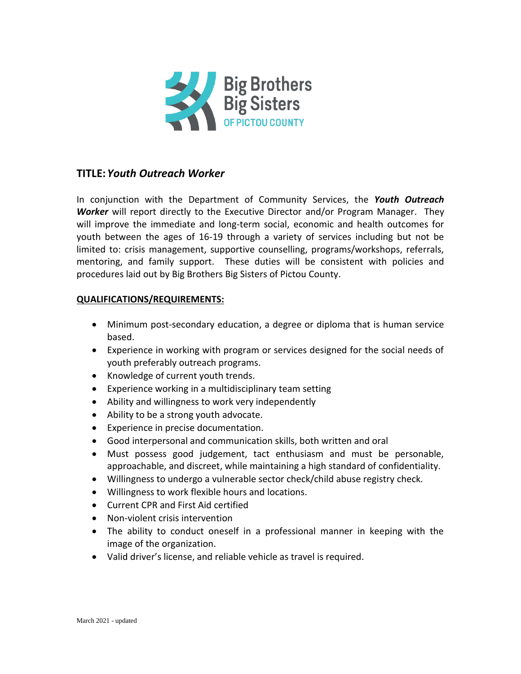

# **TITLE:***Youth Outreach Worker*

In conjunction with the Department of Community Services, the *Youth Outreach Worker* will report directly to the Executive Director and/or Program Manager. They will improve the immediate and long-term social, economic and health outcomes for youth between the ages of 16-19 through a variety of services including but not be limited to: crisis management, supportive counselling, programs/workshops, referrals, mentoring, and family support. These duties will be consistent with policies and procedures laid out by Big Brothers Big Sisters of Pictou County.

## **QUALIFICATIONS/REQUIREMENTS:**

- Minimum post-secondary education, a degree or diploma that is human service based.
- Experience in working with program or services designed for the social needs of youth preferably outreach programs.
- Knowledge of current youth trends.
- Experience working in a multidisciplinary team setting
- Ability and willingness to work very independently
- Ability to be a strong youth advocate.
- Experience in precise documentation.
- Good interpersonal and communication skills, both written and oral
- Must possess good judgement, tact enthusiasm and must be personable, approachable, and discreet, while maintaining a high standard of confidentiality.
- Willingness to undergo a vulnerable sector check/child abuse registry check.
- Willingness to work flexible hours and locations.
- Current CPR and First Aid certified
- Non-violent crisis intervention
- The ability to conduct oneself in a professional manner in keeping with the image of the organization.
- Valid driver's license, and reliable vehicle as travel is required.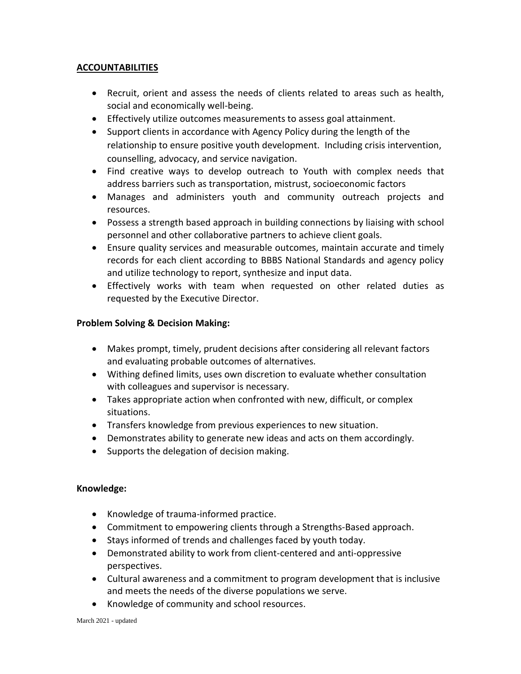## **ACCOUNTABILITIES**

- Recruit, orient and assess the needs of clients related to areas such as health, social and economically well-being.
- Effectively utilize outcomes measurements to assess goal attainment.
- Support clients in accordance with Agency Policy during the length of the relationship to ensure positive youth development. Including crisis intervention, counselling, advocacy, and service navigation.
- Find creative ways to develop outreach to Youth with complex needs that address barriers such as transportation, mistrust, socioeconomic factors
- Manages and administers youth and community outreach projects and resources.
- Possess a strength based approach in building connections by liaising with school personnel and other collaborative partners to achieve client goals.
- Ensure quality services and measurable outcomes, maintain accurate and timely records for each client according to BBBS National Standards and agency policy and utilize technology to report, synthesize and input data.
- Effectively works with team when requested on other related duties as requested by the Executive Director.

## **Problem Solving & Decision Making:**

- Makes prompt, timely, prudent decisions after considering all relevant factors and evaluating probable outcomes of alternatives.
- Withing defined limits, uses own discretion to evaluate whether consultation with colleagues and supervisor is necessary.
- Takes appropriate action when confronted with new, difficult, or complex situations.
- Transfers knowledge from previous experiences to new situation.
- Demonstrates ability to generate new ideas and acts on them accordingly.
- Supports the delegation of decision making.

#### **Knowledge:**

- Knowledge of trauma-informed practice.
- Commitment to empowering clients through a Strengths-Based approach.
- Stays informed of trends and challenges faced by youth today.
- Demonstrated ability to work from client-centered and anti-oppressive perspectives.
- Cultural awareness and a commitment to program development that is inclusive and meets the needs of the diverse populations we serve.
- Knowledge of community and school resources.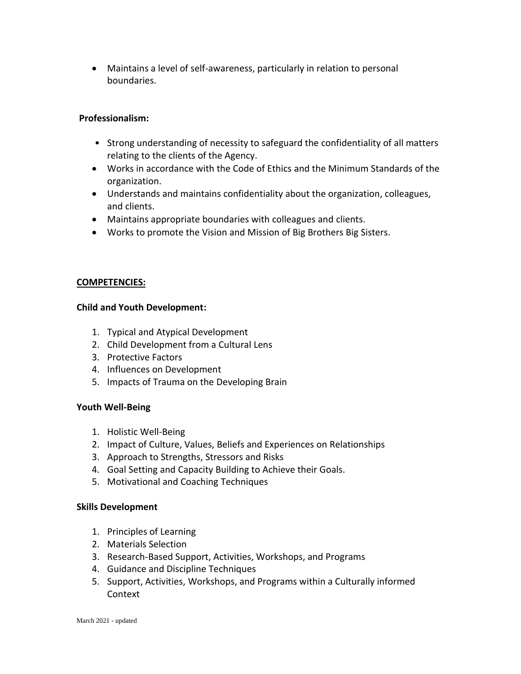• Maintains a level of self-awareness, particularly in relation to personal boundaries.

#### **Professionalism:**

- Strong understanding of necessity to safeguard the confidentiality of all matters relating to the clients of the Agency.
- Works in accordance with the Code of Ethics and the Minimum Standards of the organization.
- Understands and maintains confidentiality about the organization, colleagues, and clients.
- Maintains appropriate boundaries with colleagues and clients.
- Works to promote the Vision and Mission of Big Brothers Big Sisters.

## **COMPETENCIES:**

#### **Child and Youth Development:**

- 1. Typical and Atypical Development
- 2. Child Development from a Cultural Lens
- 3. Protective Factors
- 4. Influences on Development
- 5. Impacts of Trauma on the Developing Brain

# **Youth Well-Being**

- 1. Holistic Well-Being
- 2. Impact of Culture, Values, Beliefs and Experiences on Relationships
- 3. Approach to Strengths, Stressors and Risks
- 4. Goal Setting and Capacity Building to Achieve their Goals.
- 5. Motivational and Coaching Techniques

#### **Skills Development**

- 1. Principles of Learning
- 2. Materials Selection
- 3. Research-Based Support, Activities, Workshops, and Programs
- 4. Guidance and Discipline Techniques
- 5. Support, Activities, Workshops, and Programs within a Culturally informed Context